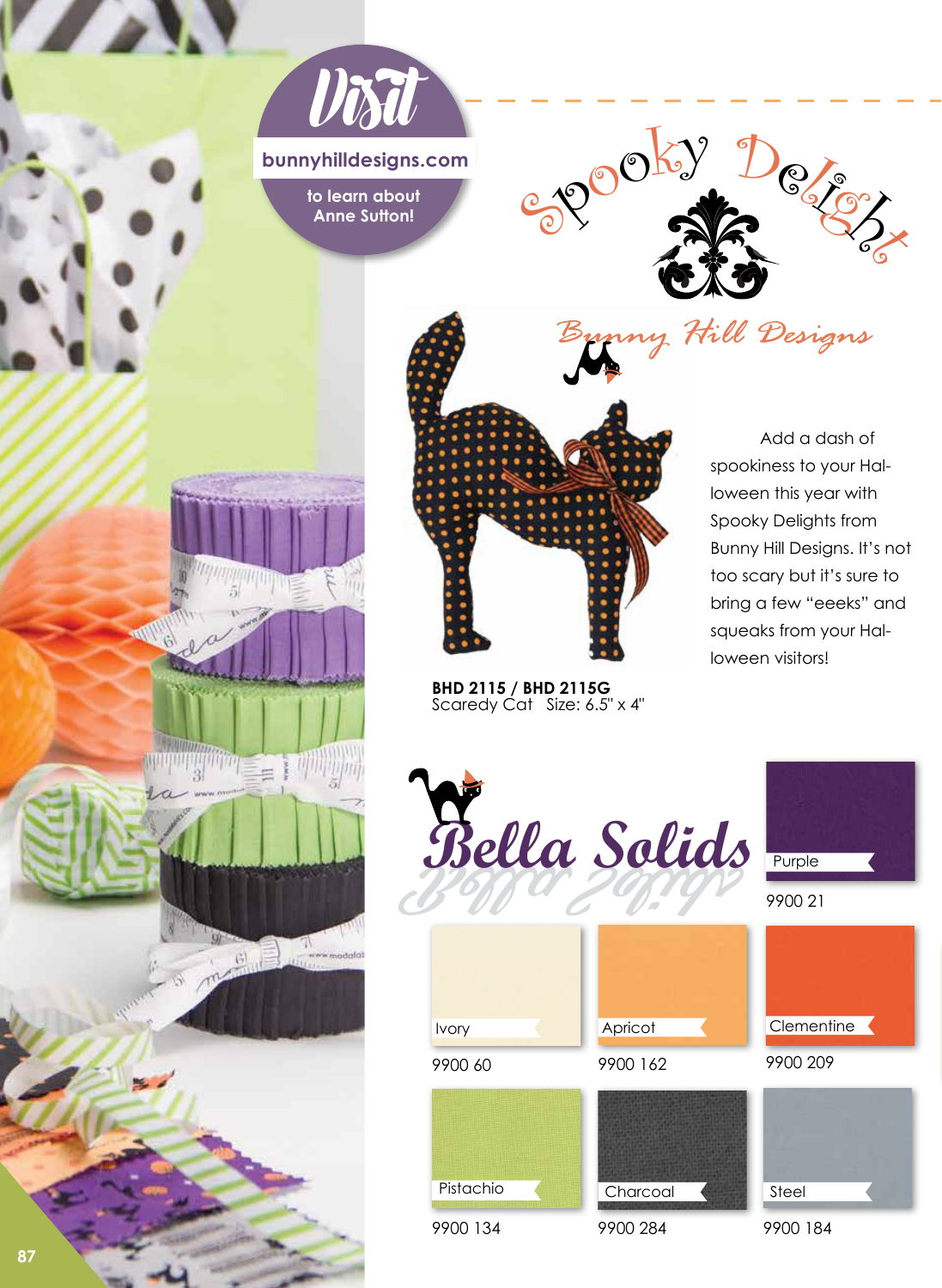

**bunnyhilldesigns.com**

**to learn about Anne Sutton!**

wm

**NUTRITION SET AND THE REAL PROPERTY** 

 $5 - 5$ 

**Hill** www.modalat

 $\frac{1}{2}$ 

I'E





**BHD 2115 / BHD 2115G** 

Add a dash of spookiness to your Halloween this year with Spooky Delights from Bunny Hill Designs. It's not too scary but it's sure to bring a few "eeeks" and squeaks from your Halloween visitors!



**87**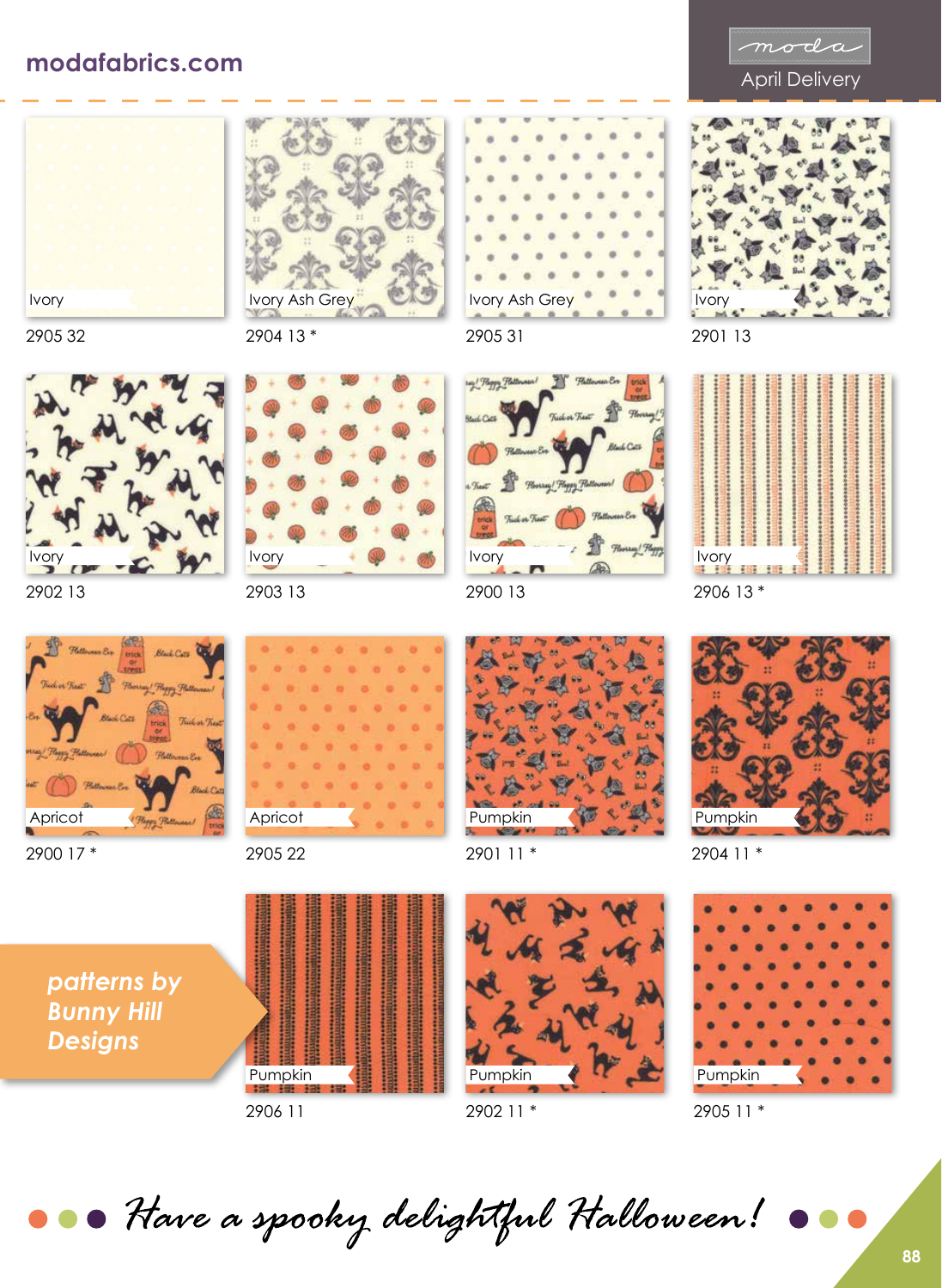## April Delivery **modafabrics.com**









2904 13 \*



2902 13

Ivory

2905 32



2900 17 \*



2905 22



2905 31



2900 13



2901 11 \*



2904 11 \*

2906 13 \*

Ivory

2901 13

Ivory



2905 11 \*

*patterns by Bunny Hill Designs*



2906 11

Pumpkin

2902 11 \*

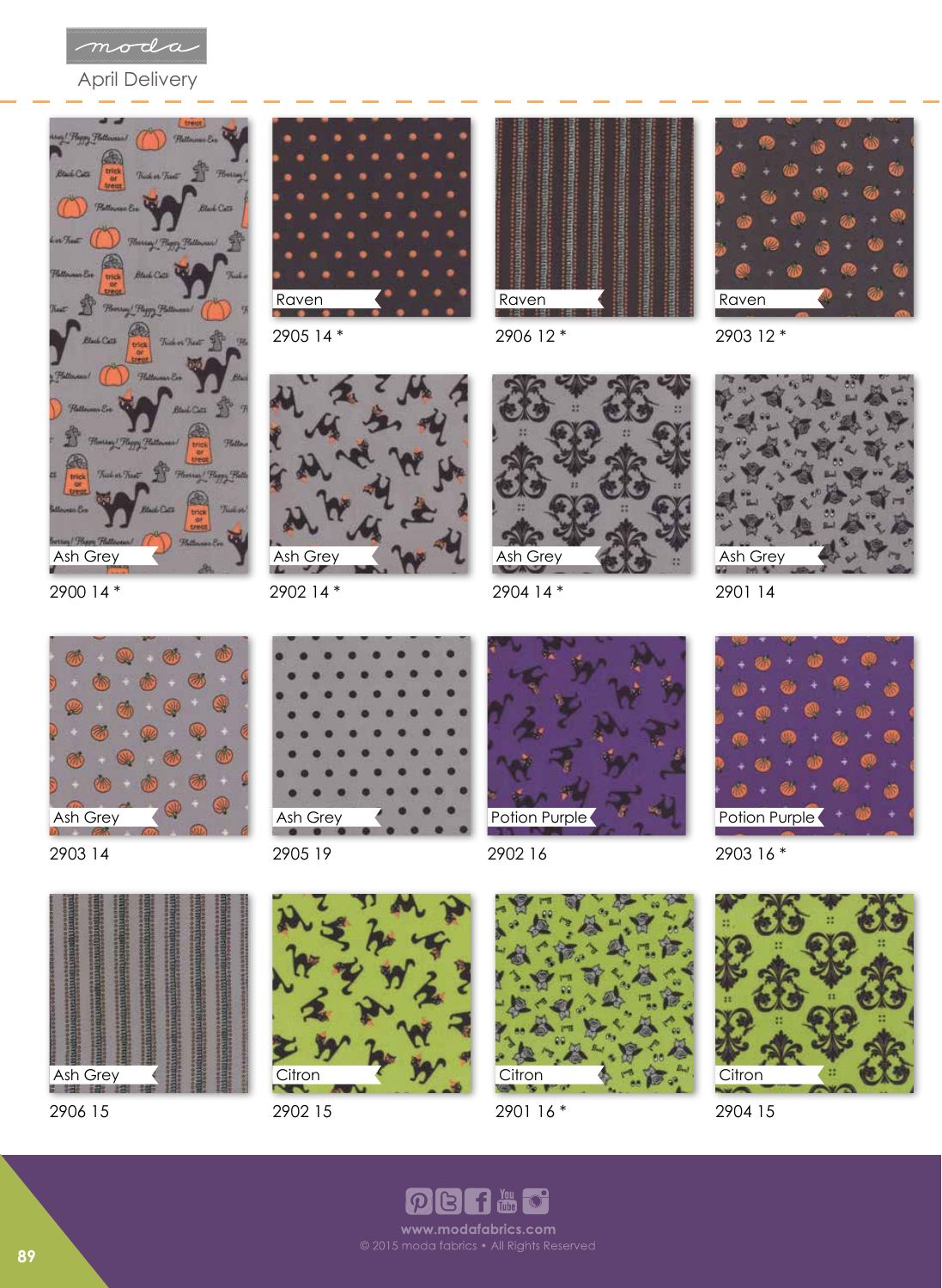

April Delivery





2905 14 \*









2900 14 \*



2903 14



2906 15







2905 19

Ash Grey



2902 16

2904 14 \*

Ash Grey



2903 16 \*





2902 15



2901 16 \*



2904 15